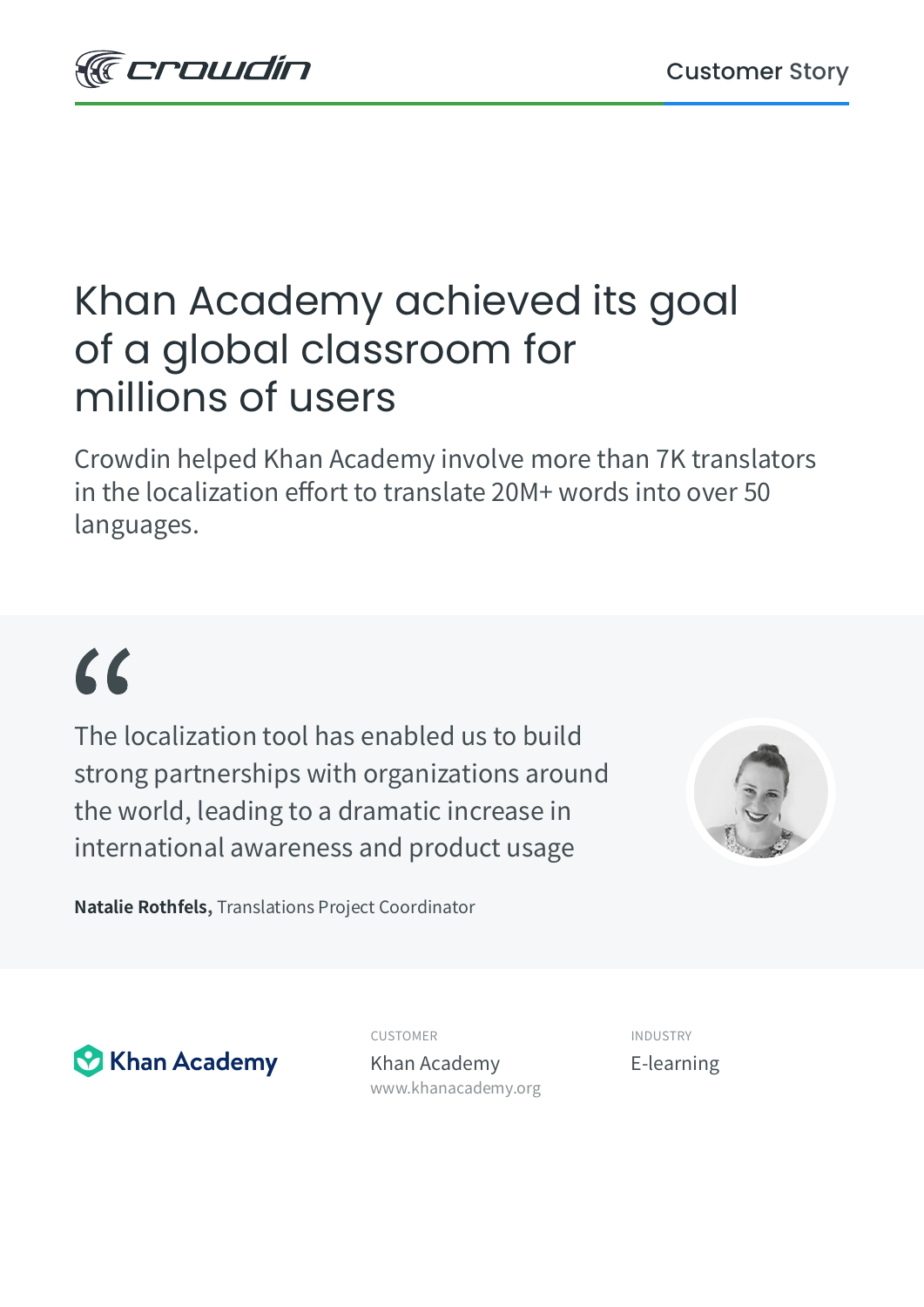

### Khan Academy achieved its goal of a global classroom for millions of users

Crowdin helped Khan Academy involve more than 7K translators in the localization effort to translate 20M+ words into over 50 languages.

# $\epsilon$

The localization tool has enabled us to build strong partnerships with organizations around the world, leading to a dramatic increase in international awareness and product usage



**Natalie Rothfels,** Translations Project Coordinator



CUSTOMER INDUSTRY

Khan Academy E-learning [www.khanacademy.org](https://www.khanacademy.org/)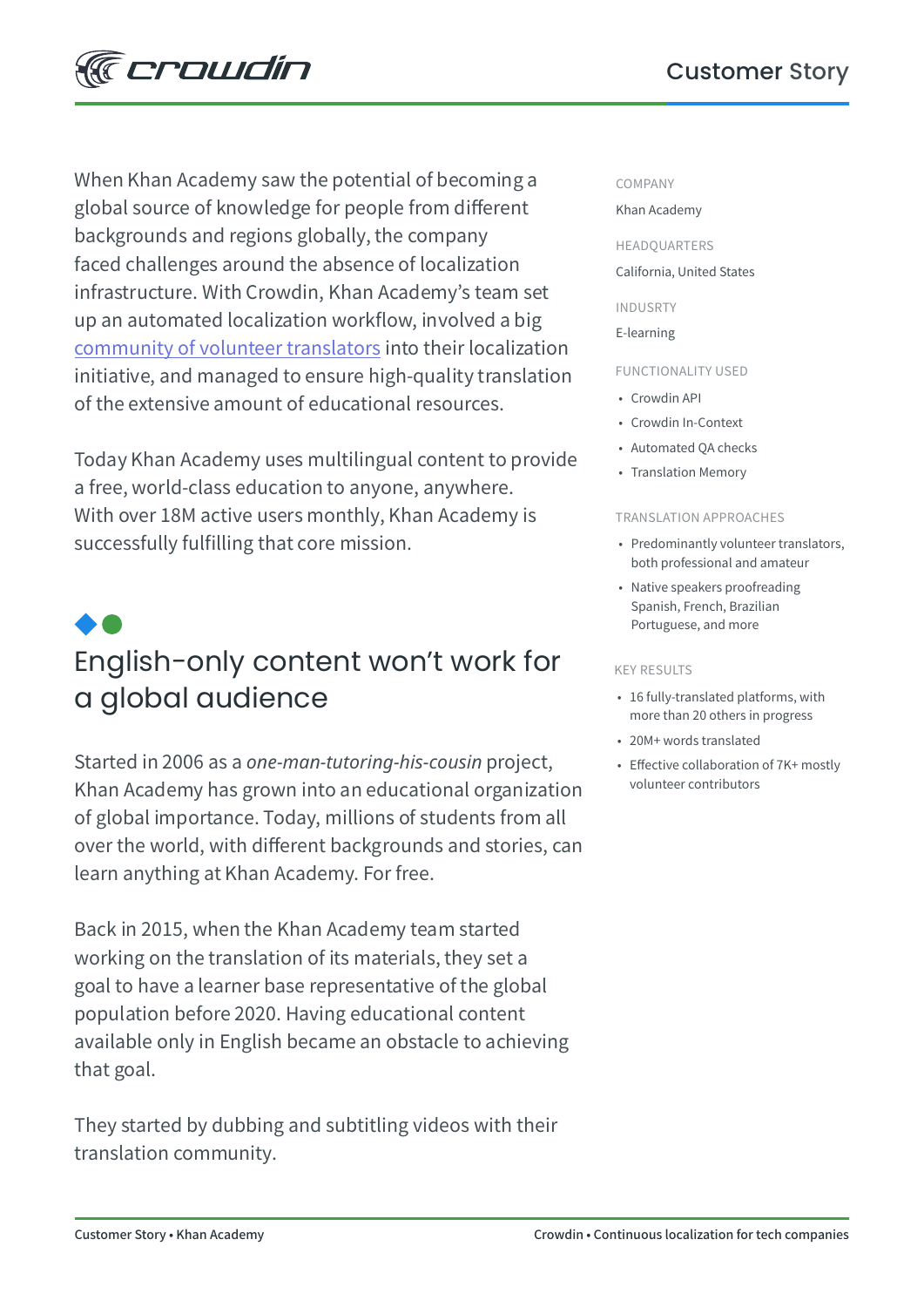When Khan Academy saw the potential of becoming a global source of knowledge for people from different backgrounds and regions globally, the company faced challenges around the absence of localization infrastructure. With Crowdin, Khan Academy's team set up an automated localization workflow, involved a big [community of volunteer translators](https://www.khanacademy.org/contribute/credits) into their localization initiative, and managed to ensure high-quality translation of the extensive amount of educational resources.

Today Khan Academy uses multilingual content to provide a free, world-class education to anyone, anywhere. With over 18M active users monthly, Khan Academy is successfully fulfilling that core mission.

## English-only content won't work for a global audience

Started in 2006 as a *one-man-tutoring-his-cousin* project, Khan Academy has grown into an educational organization of global importance. Today, millions of students from all over the world, with different backgrounds and stories, can learn anything at Khan Academy. For free.

Back in 2015, when the Khan Academy team started working on the translation of its materials, they set a goal to have a learner base representative of the global population before 2020. Having educational content available only in English became an obstacle to achieving that goal.

They started by dubbing and subtitling videos with their translation community.

### COMPANY

#### Khan Academy

HEADQUARTERS

### California, United States

INDUSRTY E-learning

### FUNCTIONALITY USED

- Crowdin API
- Crowdin In-Context
- Automated QA checks
- Translation Memory

#### TRANSLATION APPROACHES

- Predominantly volunteer translators, both professional and amateur
- Native speakers proofreading Spanish, French, Brazilian Portuguese, and more

#### KEY RESULTS

- 16 fully-translated platforms, with more than 20 others in progress
- 20M+ words translated
- Effective collaboration of 7K+ mostly volunteer contributors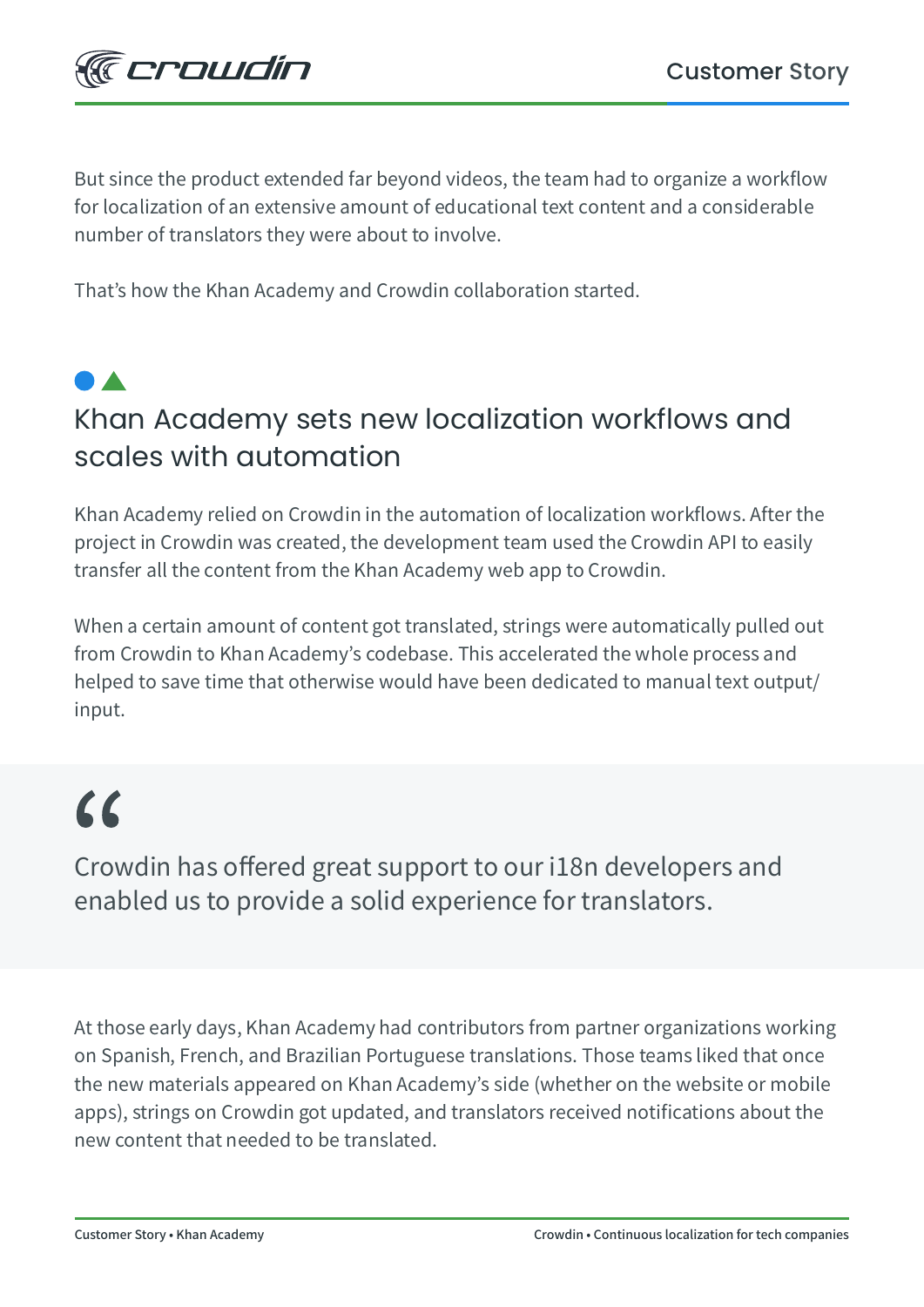

But since the product extended far beyond videos, the team had to organize a workflow for localization of an extensive amount of educational text content and a considerable number of translators they were about to involve.

That's how the Khan Academy and Crowdin collaboration started.

## Khan Academy sets new localization workflows and scales with automation

Khan Academy relied on Crowdin in the automation of localization workflows. After the project in Crowdin was created, the development team used the Crowdin API to easily transfer all the content from the Khan Academy web app to Crowdin.

When a certain amount of content got translated, strings were automatically pulled out from Crowdin to Khan Academy's codebase. This accelerated the whole process and helped to save time that otherwise would have been dedicated to manual text output/ input.

## $\epsilon$

Crowdin has offered great support to our i18n developers and enabled us to provide a solid experience for translators.

At those early days, Khan Academy had contributors from partner organizations working on Spanish, French, and Brazilian Portuguese translations. Those teams liked that once the new materials appeared on Khan Academy's side (whether on the website or mobile apps), strings on Crowdin got updated, and translators received notifications about the new content that needed to be translated.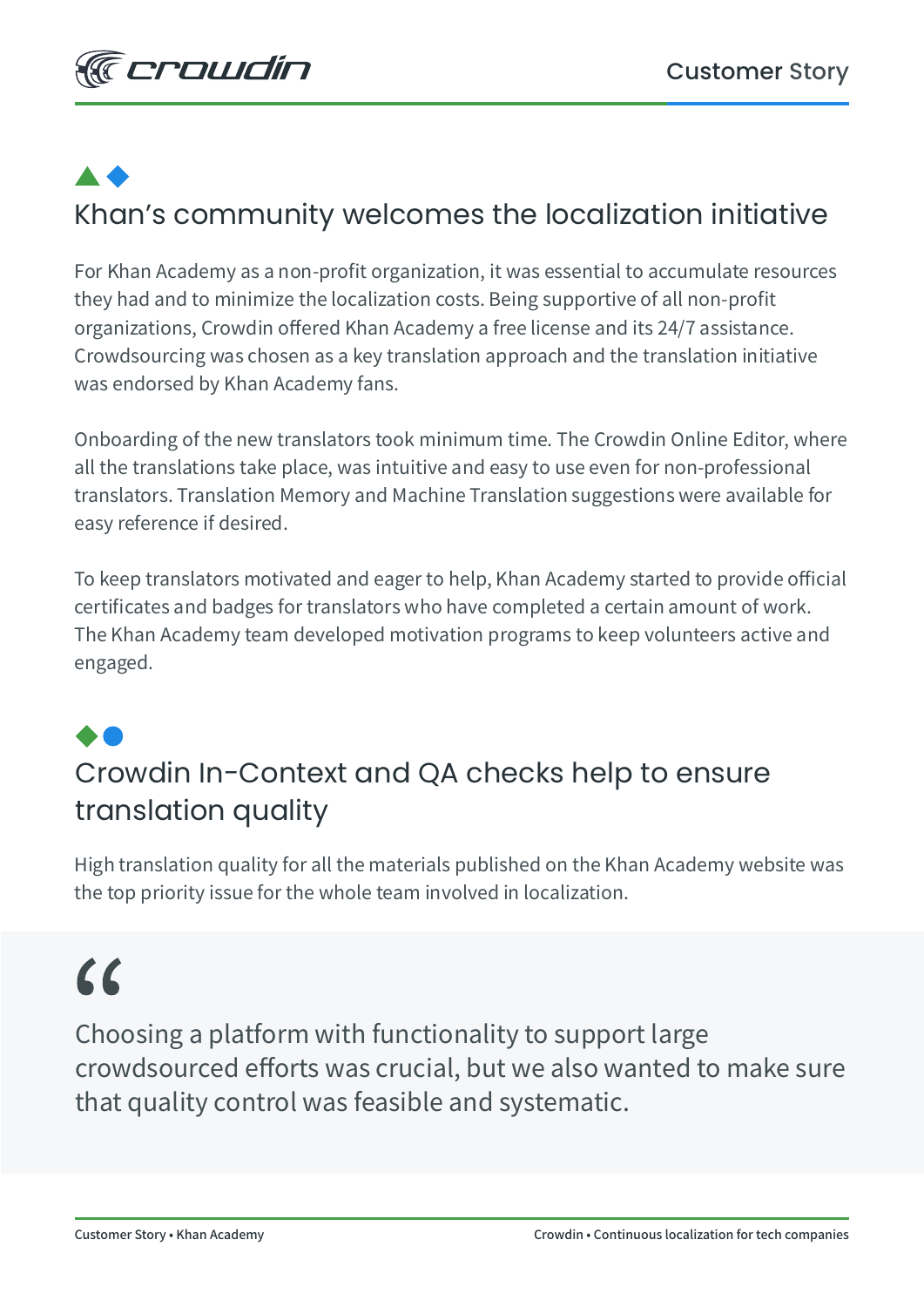# Khan's community welcomes the localization initiative

For Khan Academy as a non-profit organization, it was essential to accumulate resources they had and to minimize the localization costs. Being supportive of all non-profit organizations, Crowdin offered Khan Academy a free license and its 24/7 assistance. Crowdsourcing was chosen as a key translation approach and the translation initiative was endorsed by Khan Academy fans.

Onboarding of the new translators took minimum time. The Crowdin Online Editor, where all the translations take place, was intuitive and easy to use even for non-professional translators. Translation Memory and Machine Translation suggestions were available for easy reference if desired.

To keep translators motivated and eager to help, Khan Academy started to provide official certificates and badges for translators who have completed a certain amount of work. The Khan Academy team developed motivation programs to keep volunteers active and engaged.

### Crowdin In-Context and QA checks help to ensure translation quality

High translation quality for all the materials published on the Khan Academy website was the top priority issue for the whole team involved in localization.

## $\alpha$

Choosing a platform with functionality to support large crowdsourced efforts was crucial, but we also wanted to make sure that quality control was feasible and systematic.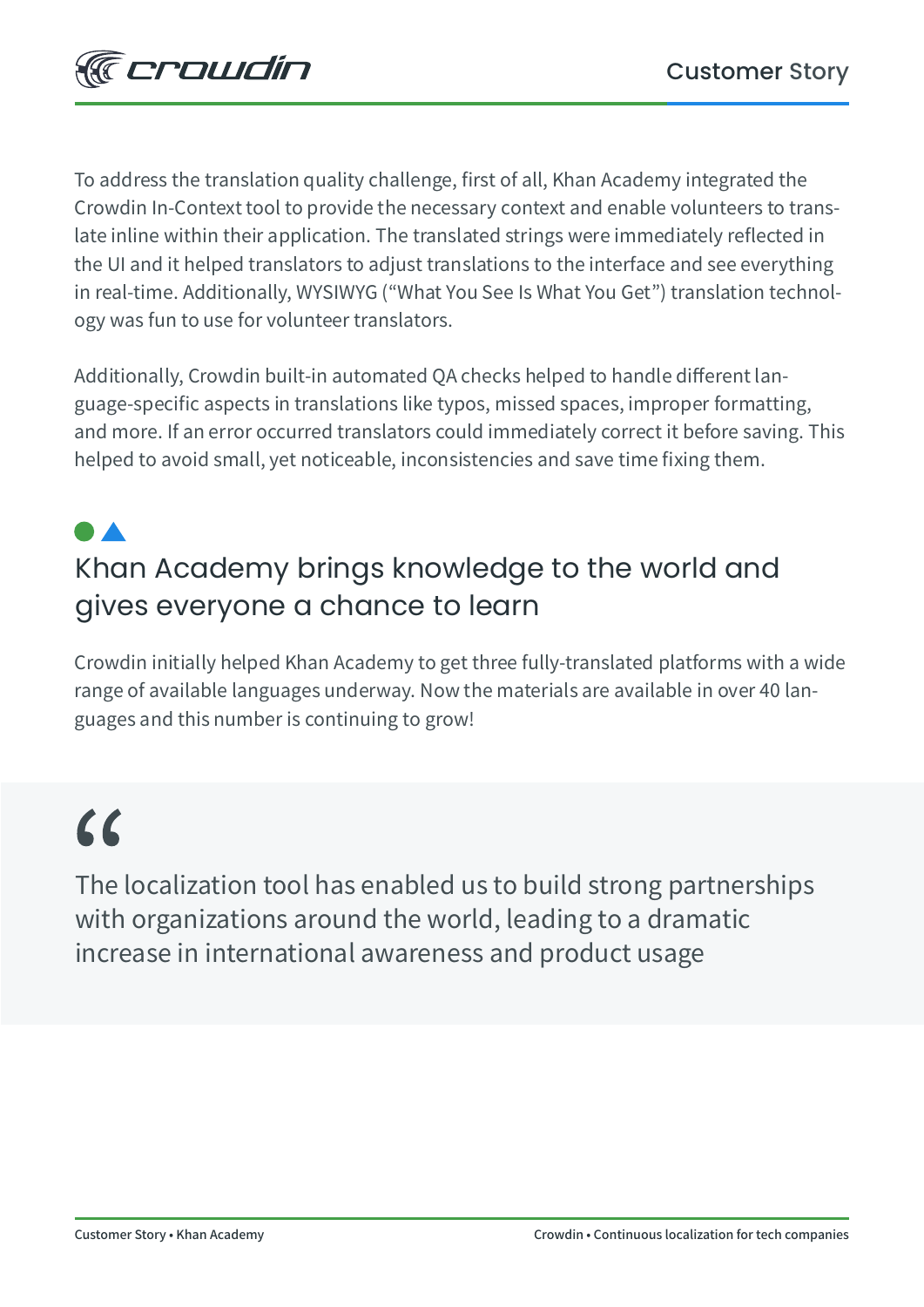To address the translation quality challenge, first of all, Khan Academy integrated the Crowdin In-Context tool to provide the necessary context and enable volunteers to translate inline within their application. The translated strings were immediately reflected in the UI and it helped translators to adjust translations to the interface and see everything in real-time. Additionally, WYSIWYG ("What You See Is What You Get") translation technology was fun to use for volunteer translators.

Additionally, Crowdin built-in automated QA checks helped to handle different language-specific aspects in translations like typos, missed spaces, improper formatting, and more. If an error occurred translators could immediately correct it before saving. This helped to avoid small, yet noticeable, inconsistencies and save time fixing them.

## Khan Academy brings knowledge to the world and gives everyone a chance to learn

Crowdin initially helped Khan Academy to get three fully-translated platforms with a wide range of available languages underway. Now the materials are available in over 40 languages and this number is continuing to grow!

## $\epsilon$

The localization tool has enabled us to build strong partnerships with organizations around the world, leading to a dramatic increase in international awareness and product usage